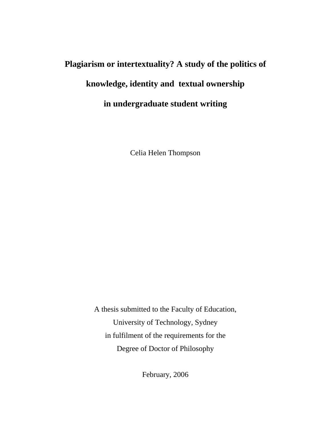# **Plagiarism or intertextuality? A study of the politics of knowledge, identity and textual ownership in undergraduate student writing**

Celia Helen Thompson

A thesis submitted to the Faculty of Education, University of Technology, Sydney in fulfilment of the requirements for the Degree of Doctor of Philosophy

February, 2006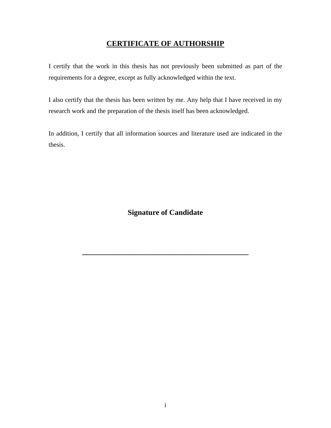#### **CERTIFICATE OF AUTHORSHIP**

I certify that the work in this thesis has not previously been submitted as part of the requirements for a degree, except as fully acknowledged within the text.

I also certify that the thesis has been written by me. Any help that I have received in my research work and the preparation of the thesis itself has been acknowledged.

In addition, I certify that all information sources and literature used are indicated in the thesis.

**Signature of Candidate** 

**\_\_\_\_\_\_\_\_\_\_\_\_\_\_\_\_\_\_\_\_\_\_\_\_\_\_\_\_\_\_\_\_\_\_\_\_\_\_\_\_\_\_\_\_**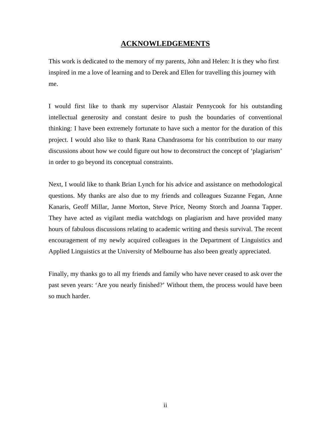#### **ACKNOWLEDGEMENTS**

This work is dedicated to the memory of my parents, John and Helen: It is they who first inspired in me a love of learning and to Derek and Ellen for travelling this journey with me.

I would first like to thank my supervisor Alastair Pennycook for his outstanding intellectual generosity and constant desire to push the boundaries of conventional thinking: I have been extremely fortunate to have such a mentor for the duration of this project. I would also like to thank Rana Chandrasoma for his contribution to our many discussions about how we could figure out how to deconstruct the concept of 'plagiarism' in order to go beyond its conceptual constraints.

Next, I would like to thank Brian Lynch for his advice and assistance on methodological questions. My thanks are also due to my friends and colleagues Suzanne Fegan, Anne Kanaris, Geoff Millar, Janne Morton, Steve Price, Neomy Storch and Joanna Tapper. They have acted as vigilant media watchdogs on plagiarism and have provided many hours of fabulous discussions relating to academic writing and thesis survival. The recent encouragement of my newly acquired colleagues in the Department of Linguistics and Applied Linguistics at the University of Melbourne has also been greatly appreciated.

Finally, my thanks go to all my friends and family who have never ceased to ask over the past seven years: 'Are you nearly finished?' Without them, the process would have been so much harder.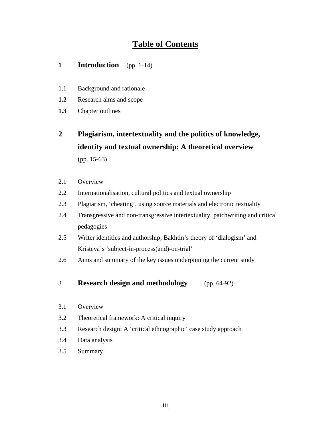#### **Table of Contents**

#### **1 Introduction** (pp. 1-14)

- 1.1 Background and rationale
- **1.2** Research aims and scope
- **1.3** Chapter outlines
- **2 Plagiarism, intertextuality and the politics of knowledge, identity and textual ownership: A theoretical overview**  (pp. 15-63)
- 2.1 Overview
- 2.2 Internationalisation, cultural politics and textual ownership
- 2.3 Plagiarism, 'cheating', using source materials and electronic textuality
- 2.4 Transgressive and non-transgressive intertextuality, patchwriting and critical pedagogies
- 2.5 Writer identities and authorship; Bakhtin's theory of 'dialogism' and Kristeva's 'subject-in-process(and)-on-trial'
- 2.6 Aims and summary of the key issues underpinning the current study
- 3 **Research design and methodology** (pp. 64-92)
- 3.1 Overview
- 3.2 Theoretical framework: A critical inquiry
- 3.3 Research design: A 'critical ethnographic' case study approach
- 3.4 Data analysis
- 3.5 Summary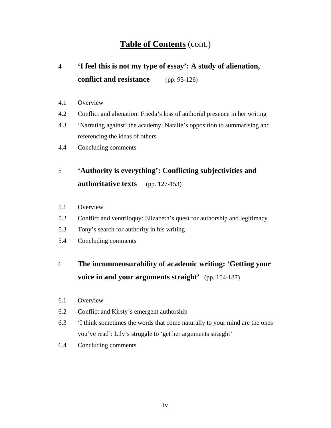#### **Table of Contents** (cont.)

# **4 'I feel this is not my type of essay': A study of alienation, conflict and resistance** (pp. 93-126)

- 4.1 Overview
- 4.2 Conflict and alienation: Frieda's loss of authorial presence in her writing
- 4.3 'Narrating against' the academy: Natalie's opposition to summarising and referencing the ideas of others
- 4.4 Concluding comments

# 5 **'Authority is everything': Conflicting subjectivities and authoritative texts** (pp. 127-153)

- 5.1 Overview
- 5.2 Conflict and ventriloquy: Elizabeth's quest for authorship and legitimacy
- 5.3 Tony's search for authority in his writing
- 5.4 Concluding comments

### 6 **The incommensurability of academic writing: 'Getting your voice in and your arguments straight'** (pp. 154-187)

- 6.1 Overview
- 6.2 Conflict and Kirsty's emergent authorship
- 6.3 'I think sometimes the words that come naturally to your mind are the ones you've read': Lily's struggle to 'get her arguments straight'
- 6.4 Concluding comments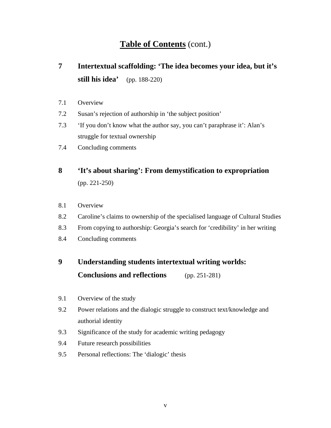### **Table of Contents** (cont.)

# **7 Intertextual scaffolding: 'The idea becomes your idea, but it's still his idea'** (pp. 188-220)

- 7.1 Overview
- 7.2 Susan's rejection of authorship in 'the subject position'
- 7.3 'If you don't know what the author say, you can't paraphrase it': Alan's struggle for textual ownership
- 7.4 Concluding comments

# **8 'It's about sharing': From demystification to expropriation**  (pp. 221-250)

- 8.1 Overview
- 8.2 Caroline's claims to ownership of the specialised language of Cultural Studies
- 8.3 From copying to authorship: Georgia's search for 'credibility' in her writing
- 8.4 Concluding comments

## **9 Understanding students intertextual writing worlds: Conclusions and reflections** (pp. 251-281)

- 9.1 Overview of the study
- 9.2 Power relations and the dialogic struggle to construct text/knowledge and authorial identity
- 9.3 Significance of the study for academic writing pedagogy
- 9.4 Future research possibilities
- 9.5 Personal reflections: The 'dialogic' thesis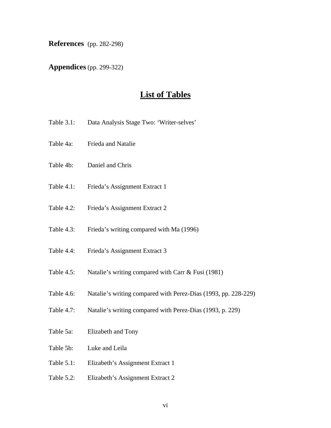**References** (pp. 282-298)

**Appendices** (pp. 299-322)

#### **List of Tables**

- Table 3.1: Data Analysis Stage Two: 'Writer-selves'
- Table 4a: Frieda and Natalie
- Table 4b: Daniel and Chris
- Table 4.1: Frieda's Assignment Extract 1
- Table 4.2: Frieda's Assignment Extract 2
- Table 4.3: Frieda's writing compared with Ma (1996)
- Table 4.4: Frieda's Assignment Extract 3
- Table 4.5: Natalie's writing compared with Carr & Fusi (1981)
- Table 4.6: Natalie's writing compared with Perez-Dias (1993, pp. 228-229)
- Table 4.7: Natalie's writing compared with Perez-Dias (1993, p. 229)
- Table 5a: Elizabeth and Tony
- Table 5b: Luke and Leila
- Table 5.1: Elizabeth's Assignment Extract 1
- Table 5.2: Elizabeth's Assignment Extract 2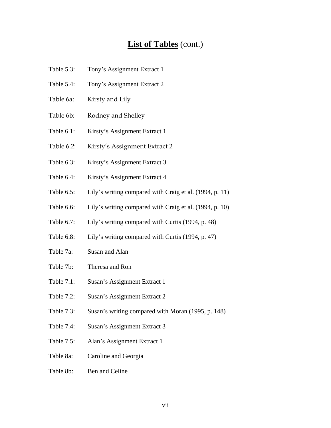#### **List of Tables** (cont.)

- Table 5.3: Tony's Assignment Extract 1
- Table 5.4: Tony's Assignment Extract 2
- Table 6a: Kirsty and Lily
- Table 6b: Rodney and Shelley
- Table 6.1: Kirsty's Assignment Extract 1
- Table 6.2: Kirsty's Assignment Extract 2
- Table 6.3: Kirsty's Assignment Extract 3
- Table 6.4: Kirsty's Assignment Extract 4
- Table 6.5: Lily's writing compared with Craig et al. (1994, p. 11)
- Table 6.6: Lily's writing compared with Craig et al. (1994, p. 10)
- Table 6.7: Lily's writing compared with Curtis (1994, p. 48)
- Table 6.8: Lily's writing compared with Curtis (1994, p. 47)
- Table 7a: Susan and Alan
- Table 7b: Theresa and Ron
- Table 7.1: Susan's Assignment Extract 1
- Table 7.2: Susan's Assignment Extract 2
- Table 7.3: Susan's writing compared with Moran (1995, p. 148)
- Table 7.4: Susan's Assignment Extract 3
- Table 7.5: Alan's Assignment Extract 1
- Table 8a: Caroline and Georgia
- Table 8b: Ben and Celine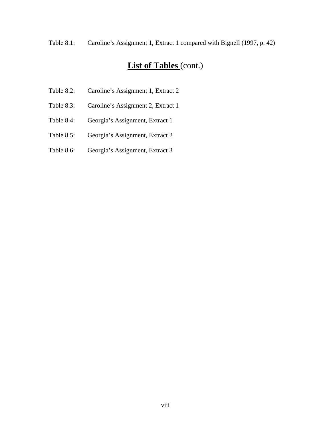Table 8.1: Caroline's Assignment 1, Extract 1 compared with Bignell (1997, p. 42)

### **List of Tables** (cont.)

- Table 8.2: Caroline's Assignment 1, Extract 2
- Table 8.3: Caroline's Assignment 2, Extract 1
- Table 8.4: Georgia's Assignment, Extract 1
- Table 8.5: Georgia's Assignment, Extract 2
- Table 8.6: Georgia's Assignment, Extract 3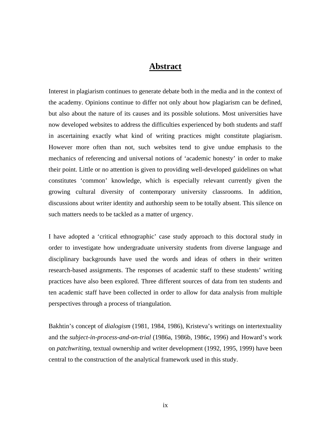#### **Abstract**

Interest in plagiarism continues to generate debate both in the media and in the context of the academy. Opinions continue to differ not only about how plagiarism can be defined, but also about the nature of its causes and its possible solutions. Most universities have now developed websites to address the difficulties experienced by both students and staff in ascertaining exactly what kind of writing practices might constitute plagiarism. However more often than not, such websites tend to give undue emphasis to the mechanics of referencing and universal notions of 'academic honesty' in order to make their point. Little or no attention is given to providing well-developed guidelines on what constitutes 'common' knowledge, which is especially relevant currently given the growing cultural diversity of contemporary university classrooms. In addition, discussions about writer identity and authorship seem to be totally absent. This silence on such matters needs to be tackled as a matter of urgency.

I have adopted a 'critical ethnographic' case study approach to this doctoral study in order to investigate how undergraduate university students from diverse language and disciplinary backgrounds have used the words and ideas of others in their written research-based assignments. The responses of academic staff to these students' writing practices have also been explored. Three different sources of data from ten students and ten academic staff have been collected in order to allow for data analysis from multiple perspectives through a process of triangulation.

Bakhtin's concept of *dialogism* (1981, 1984, 1986), Kristeva's writings on intertextuality and the *subject-in-process-and-on-trial* (1986a, 1986b, 1986c, 1996) and Howard's work on *patchwriting*, textual ownership and writer development (1992, 1995, 1999) have been central to the construction of the analytical framework used in this study.